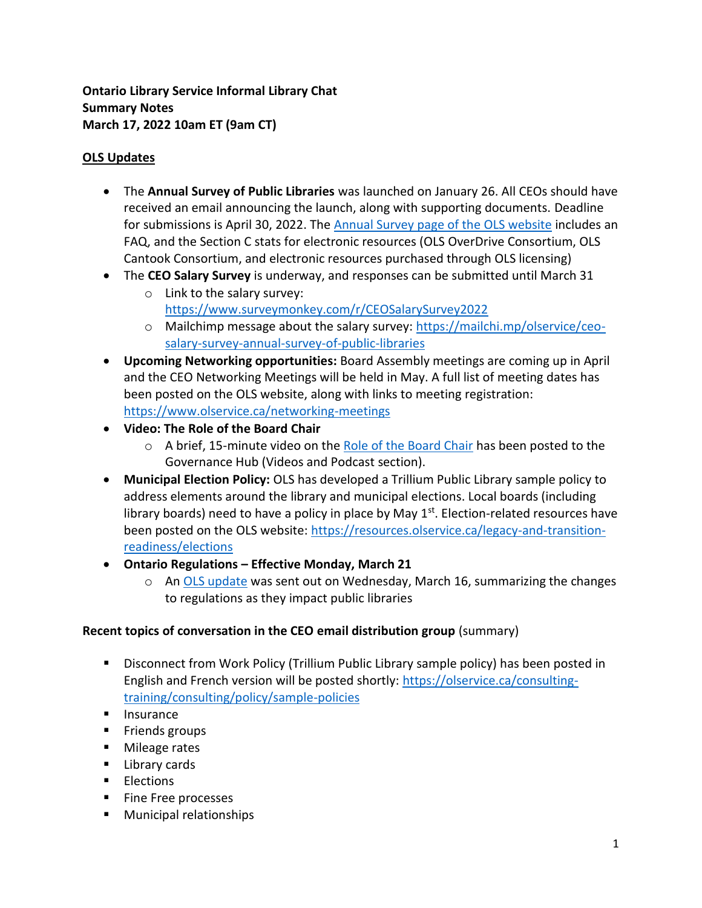**Ontario Library Service Informal Library Chat Summary Notes March 17, 2022 10am ET (9am CT)**

# **OLS Updates**

- The **Annual Survey of Public Libraries** was launched on January 26. All CEOs should have received an email announcing the launch, along with supporting documents. Deadline for submissions is April 30, 2022. The [Annual Survey page of the OLS website](https://www.olservice.ca/funding-grants/annual-survey) includes an FAQ, and the Section C stats for electronic resources (OLS OverDrive Consortium, OLS Cantook Consortium, and electronic resources purchased through OLS licensing)
- The **CEO Salary Survey** is underway, and responses can be submitted until March 31
	- o Link to the salary survey: <https://www.surveymonkey.com/r/CEOSalarySurvey2022>
	- o Mailchimp message about the salary survey: [https://mailchi.mp/olservice/ceo](https://mailchi.mp/olservice/ceo-salary-survey-annual-survey-of-public-libraries)[salary-survey-annual-survey-of-public-libraries](https://mailchi.mp/olservice/ceo-salary-survey-annual-survey-of-public-libraries)
- **Upcoming Networking opportunities:** Board Assembly meetings are coming up in April and the CEO Networking Meetings will be held in May. A full list of meeting dates has been posted on the OLS website, along with links to meeting registration: <https://www.olservice.ca/networking-meetings>
- **Video: The Role of the Board Chair**
	- $\circ$  A brief, 15-minute video on the [Role of the Board Chair](https://resources.olservice.ca/gov-hub-videos-podcast) has been posted to the Governance Hub (Videos and Podcast section).
- **Municipal Election Policy:** OLS has developed a Trillium Public Library sample policy to address elements around the library and municipal elections. Local boards (including library boards) need to have a policy in place by May  $1<sup>st</sup>$ . Election-related resources have been posted on the OLS website: [https://resources.olservice.ca/legacy-and-transition](https://resources.olservice.ca/legacy-and-transition-readiness/elections)[readiness/elections](https://resources.olservice.ca/legacy-and-transition-readiness/elections)
- **Ontario Regulations – Effective Monday, March 21**
	- $\circ$  An [OLS update](https://us20.campaign-archive.com/?u=7b058d7d482702c25c4c07674&id=106f5062d0) was sent out on Wednesday, March 16, summarizing the changes to regulations as they impact public libraries

# **Recent topics of conversation in the CEO email distribution group** (summary)

- Disconnect from Work Policy (Trillium Public Library sample policy) has been posted in English and French version will be posted shortly: [https://olservice.ca/consulting](https://olservice.ca/consulting-training/consulting/policy/sample-policies)[training/consulting/policy/sample-policies](https://olservice.ca/consulting-training/consulting/policy/sample-policies)
- Insurance
- Friends groups
- Mileage rates
- Library cards
- Elections
- Fine Free processes
- Municipal relationships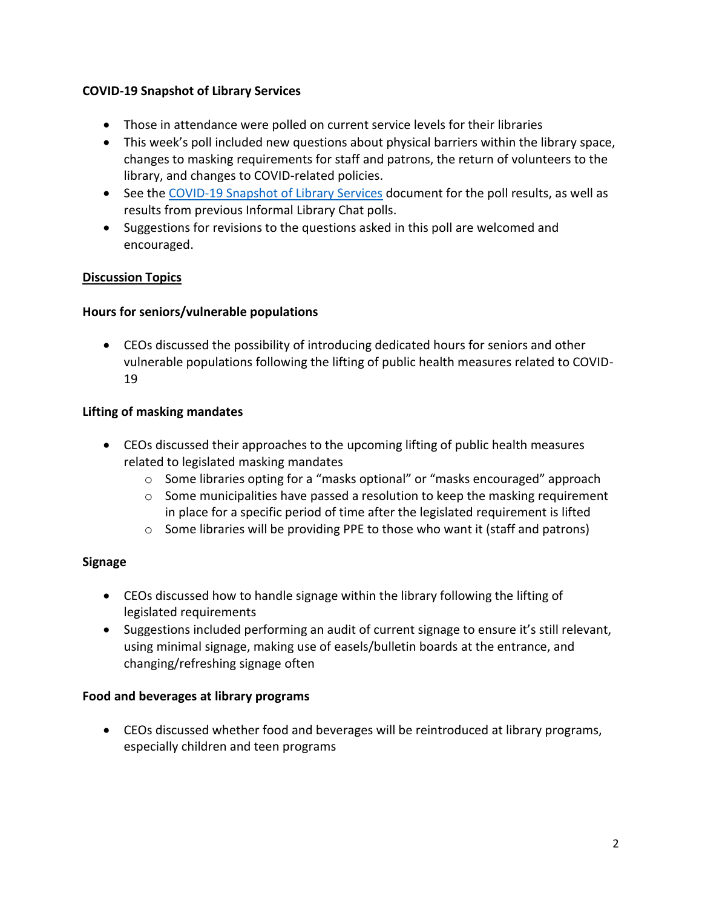### **COVID-19 Snapshot of Library Services**

- Those in attendance were polled on current service levels for their libraries
- This week's poll included new questions about physical barriers within the library space, changes to masking requirements for staff and patrons, the return of volunteers to the library, and changes to COVID-related policies.
- See the [COVID-19 Snapshot of Library Services](https://olservice.sharepoint.com/:x:/t/ConsultingMeetings/EVb1lz_ndeZAh4bpU7lrPOQBM5E0VVMNS3TG8iUNFDNORA?e=fh8CKc) document for the poll results, as well as results from previous Informal Library Chat polls.
- Suggestions for revisions to the questions asked in this poll are welcomed and encouraged.

### **Discussion Topics**

### **Hours for seniors/vulnerable populations**

• CEOs discussed the possibility of introducing dedicated hours for seniors and other vulnerable populations following the lifting of public health measures related to COVID-19

### **Lifting of masking mandates**

- CEOs discussed their approaches to the upcoming lifting of public health measures related to legislated masking mandates
	- o Some libraries opting for a "masks optional" or "masks encouraged" approach
	- $\circ$  Some municipalities have passed a resolution to keep the masking requirement in place for a specific period of time after the legislated requirement is lifted
	- o Some libraries will be providing PPE to those who want it (staff and patrons)

### **Signage**

- CEOs discussed how to handle signage within the library following the lifting of legislated requirements
- Suggestions included performing an audit of current signage to ensure it's still relevant, using minimal signage, making use of easels/bulletin boards at the entrance, and changing/refreshing signage often

### **Food and beverages at library programs**

• CEOs discussed whether food and beverages will be reintroduced at library programs, especially children and teen programs